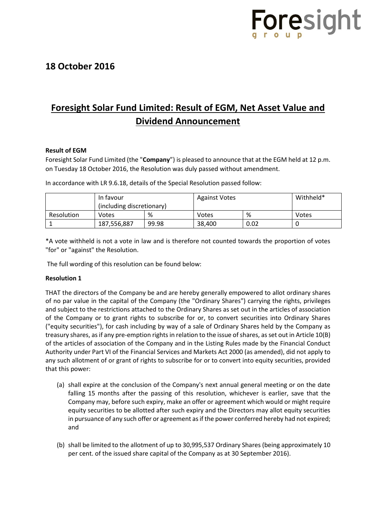

## **18 October 2016**

# **Foresight Solar Fund Limited: Result of EGM, Net Asset Value and Dividend Announcement**

### **Result of EGM**

Foresight Solar Fund Limited (the "**Company**") is pleased to announce that at the EGM held at 12 p.m. on Tuesday 18 October 2016, the Resolution was duly passed without amendment.

|            | In favour<br>(including discretionary) |       | <b>Against Votes</b> |      | Withheld* |
|------------|----------------------------------------|-------|----------------------|------|-----------|
| Resolution | Votes                                  | %     | Votes                | %    | Votes     |
|            | 187,556,887                            | 99.98 | 38,400               | 0.02 |           |

In accordance with LR 9.6.18, details of the Special Resolution passed follow:

\*A vote withheld is not a vote in law and is therefore not counted towards the proportion of votes "for" or "against" the Resolution.

The full wording of this resolution can be found below:

### **Resolution 1**

THAT the directors of the Company be and are hereby generally empowered to allot ordinary shares of no par value in the capital of the Company (the "Ordinary Shares") carrying the rights, privileges and subject to the restrictions attached to the Ordinary Shares as set out in the articles of association of the Company or to grant rights to subscribe for or, to convert securities into Ordinary Shares ("equity securities"), for cash including by way of a sale of Ordinary Shares held by the Company as treasury shares, as if any pre-emption rights in relation to the issue of shares, as set out in Article 10(B) of the articles of association of the Company and in the Listing Rules made by the Financial Conduct Authority under Part VI of the Financial Services and Markets Act 2000 (as amended), did not apply to any such allotment of or grant of rights to subscribe for or to convert into equity securities, provided that this power:

- (a) shall expire at the conclusion of the Company's next annual general meeting or on the date falling 15 months after the passing of this resolution, whichever is earlier, save that the Company may, before such expiry, make an offer or agreement which would or might require equity securities to be allotted after such expiry and the Directors may allot equity securities in pursuance of any such offer or agreement as if the power conferred hereby had not expired; and
- (b) shall be limited to the allotment of up to 30,995,537 Ordinary Shares (being approximately 10 per cent. of the issued share capital of the Company as at 30 September 2016).